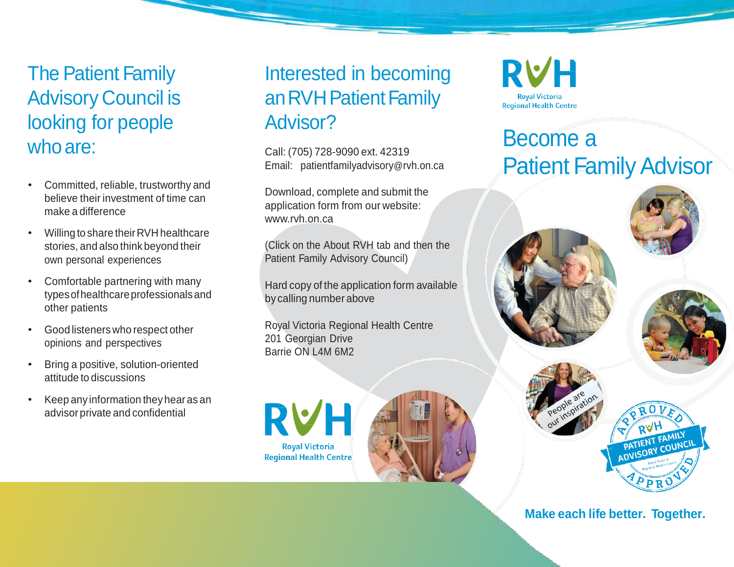The Patient Family Advisory Council is looking for people who are:

- Committed, reliable, trustworthy and believe their investment of time can make a difference
- Willing to share theirRVH healthcare stories, and also think beyond their own personal experiences
- Comfortable partnering with many typesofhealthcareprofessionalsand other patients
- Good listeners who respect other opinions and perspectives
- Bring a positive, solution-oriented attitude to discussions
- Keep any information they hear as an advisor private and confidential

### Interested in becoming an RVH Patient Family Advisor?

Call: (705) 728-9090 ext. 42319 Email: [patientfamilyadvisory](mailto:patientfamilyadvisory@rvh.on.ca)@rvh.on.ca

Download, complete and submit the application form from our website: [www.rvh.on.ca](http://www.rvh.on.ca/)

(Click on the About RVH tab and then the Patient Family Advisory Council)

Hard copy of the application form available by calling number above

Royal Victoria Regional Health Centre 201 Georgian Drive Barrie ON L4M 6M2







## Become a **Patient Family Advisor**





### **Make each life better. Together.**